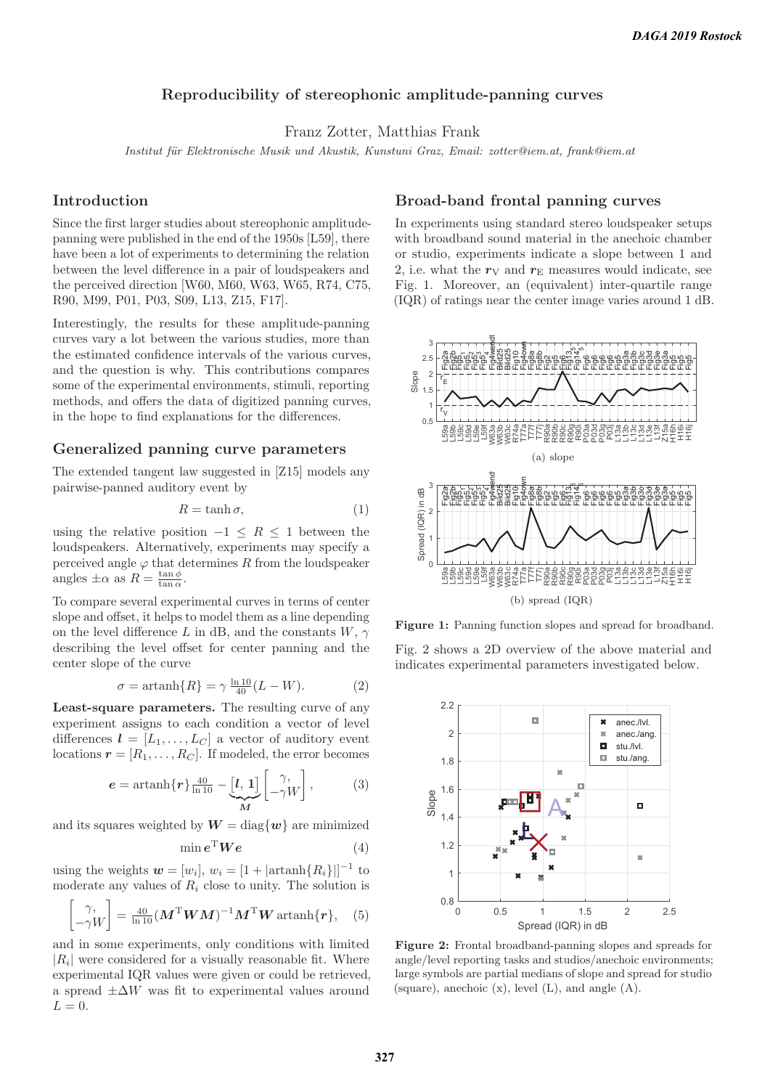# **Reproducibility of stereophonic amplitude-panning curves**

Franz Zotter, Matthias Frank

Institut für Elektronische Musik und Akustik, Kunstuni Graz, Email: zotter@iem.at, frank@iem.at

#### **Introduction**

Since the first larger studies about stereophonic amplitudepanning were published in the end of the 1950s [L59], there have been a lot of experiments to determining the relation between the level difference in a pair of loudspeakers and the perceived direction [W60, M60, W63, W65, R74, C75, R90, M99, P01, P03, S09, L13, Z15, F17].

Interestingly, the results for these amplitude-panning curves vary a lot between the various studies, more than the estimated confidence intervals of the various curves, and the question is why. This contributions compares some of the experimental environments, stimuli, reporting methods, and offers the data of digitized panning curves, in the hope to find explanations for the differences.

### **Generalized panning curve parameters**

The extended tangent law suggested in [Z15] models any pairwise-panned auditory event by

$$
R = \tanh \sigma,\tag{1}
$$

using the relative position  $-1 \leq R \leq 1$  between the loudspeakers. Alternatively, experiments may specify a perceived angle  $\varphi$  that determines R from the loudspeaker angles  $\pm \alpha$  as  $R = \frac{\tan \phi}{\tan \alpha}$ .

To compare several experimental curves in terms of center slope and offset, it helps to model them as a line depending on the level difference L in dB, and the constants  $W, \gamma$ describing the level offset for center panning and the center slope of the curve

$$
\sigma = \operatorname{artanh}\{R\} = \gamma \frac{\ln 10}{40} (L - W). \tag{2}
$$

**Least-square parameters.** The resulting curve of any experiment assigns to each condition a vector of level differences  $\mathbf{l} = [L_1, \ldots, L_C]$  a vector of auditory event locations  $r = [R_1, \ldots, R_C]$ . If modeled, the error becomes

$$
e = \operatorname{artanh}\{r\} \frac{40}{\ln 10} - \underbrace{[l, 1]}_{M} \begin{bmatrix} \gamma, \\ -\gamma W \end{bmatrix},\tag{3}
$$

and its squares weighted by  $W = \text{diag}\{w\}$  are minimized

$$
\min e^{\mathrm{T}} \bm{W} \bm{e} \tag{4}
$$

using the weights  $\mathbf{w} = [w_i], w_i = [1 + |\text{artanh}\{R_i\}||^{-1}$  to moderate any values of  $R_i$  close to unity. The solution is

$$
\begin{bmatrix} \gamma, \\ -\gamma W \end{bmatrix} = \frac{40}{\ln 10} (\boldsymbol{M}^{\mathrm{T}} \boldsymbol{W} \boldsymbol{M})^{-1} \boldsymbol{M}^{\mathrm{T}} \boldsymbol{W} \operatorname{artanh} {\{ \boldsymbol{r} \}}, \quad (5)
$$

and in some experiments, only conditions with limited  $|R_i|$  were considered for a visually reasonable fit. Where experimental IQR values were given or could be retrieved, a spread  $\pm \Delta W$  was fit to experimental values around  $L = 0$ .

## **Broad-band frontal panning curves**

In experiments using standard stereo loudspeaker setups with broadband sound material in the anechoic chamber or studio, experiments indicate a slope between 1 and 2, i.e. what the  $r_V$  and  $r_E$  measures would indicate, see Fig. 1. Moreover, an (equivalent) inter-quartile range (IQR) of ratings near the center image varies around 1 dB.



Figure 1: Panning function slopes and spread for broadband.

Fig. 2 shows a 2D overview of the above material and indicates experimental parameters investigated below.



**Figure 2:** Frontal broadband-panning slopes and spreads for angle/level reporting tasks and studios/anechoic environments; large symbols are partial medians of slope and spread for studio (square), anechoic  $(x)$ , level  $(L)$ , and angle  $(A)$ .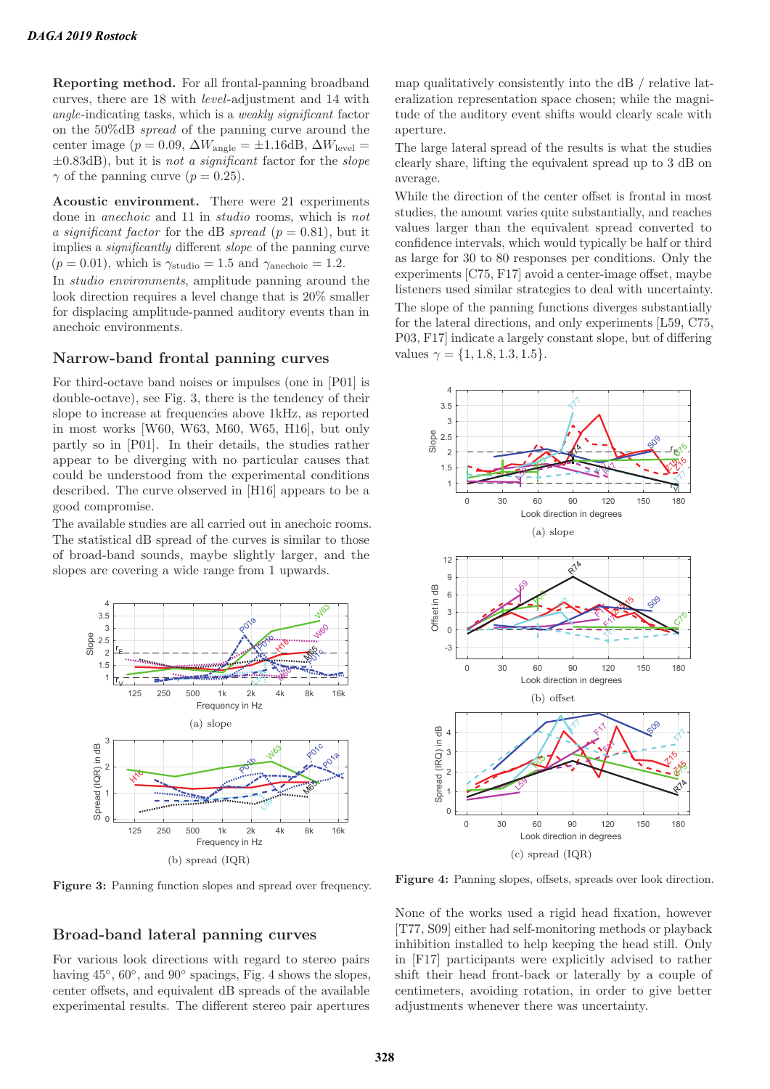**Reporting method.** For all frontal-panning broadband curves, there are 18 with level-adjustment and 14 with angle-indicating tasks, which is a weakly significant factor on the 50%dB spread of the panning curve around the center image ( $p = 0.09$ ,  $\Delta W_{\text{angle}} = \pm 1.16 \text{dB}$ ,  $\Delta W_{\text{level}} =$  $\pm 0.83$ dB), but it is not a significant factor for the slope  $\gamma$  of the panning curve  $(p = 0.25)$ .

**Acoustic environment.** There were 21 experiments done in anechoic and 11 in studio rooms, which is not a significant factor for the dB spread ( $p = 0.81$ ), but it implies a significantly different slope of the panning curve  $(p = 0.01)$ , which is  $\gamma_{\text{studio}} = 1.5$  and  $\gamma_{\text{anechoice}} = 1.2$ .

In studio environments, amplitude panning around the look direction requires a level change that is 20% smaller for displacing amplitude-panned auditory events than in anechoic environments.

### **Narrow-band frontal panning curves**

For third-octave band noises or impulses (one in [P01] is double-octave), see Fig. 3, there is the tendency of their slope to increase at frequencies above 1kHz, as reported in most works [W60, W63, M60, W65, H16], but only partly so in [P01]. In their details, the studies rather appear to be diverging with no particular causes that could be understood from the experimental conditions described. The curve observed in [H16] appears to be a good compromise.

The available studies are all carried out in anechoic rooms. The statistical dB spread of the curves is similar to those of broad-band sounds, maybe slightly larger, and the slopes are covering a wide range from 1 upwards.



**Figure 3:** Panning function slopes and spread over frequency.

### **Broad-band lateral panning curves**

For various look directions with regard to stereo pairs having 45◦, 60◦, and 90◦ spacings, Fig. 4 shows the slopes, center offsets, and equivalent dB spreads of the available experimental results. The different stereo pair apertures

map qualitatively consistently into the dB / relative lateralization representation space chosen; while the magnitude of the auditory event shifts would clearly scale with aperture.

The large lateral spread of the results is what the studies clearly share, lifting the equivalent spread up to 3 dB on average.

While the direction of the center offset is frontal in most studies, the amount varies quite substantially, and reaches values larger than the equivalent spread converted to confidence intervals, which would typically be half or third as large for 30 to 80 responses per conditions. Only the experiments [C75, F17] avoid a center-image offset, maybe listeners used similar strategies to deal with uncertainty. The slope of the panning functions diverges substantially for the lateral directions, and only experiments [L59, C75, P03, F17] indicate a largely constant slope, but of differing values  $\gamma = \{1, 1.8, 1.3, 1.5\}.$ 



**Figure 4:** Panning slopes, offsets, spreads over look direction.

None of the works used a rigid head fixation, however [T77, S09] either had self-monitoring methods or playback inhibition installed to help keeping the head still. Only in [F17] participants were explicitly advised to rather shift their head front-back or laterally by a couple of centimeters, avoiding rotation, in order to give better adjustments whenever there was uncertainty.